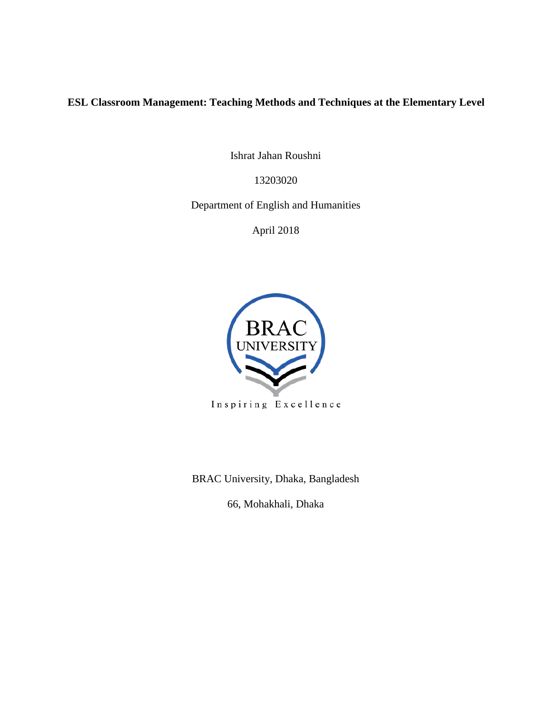## **ESL Classroom Management: Teaching Methods and Techniques at the Elementary Level**

Ishrat Jahan Roushni

13203020

Department of English and Humanities

April 2018



Inspiring Excellence

BRAC University, Dhaka, Bangladesh

66, Mohakhali, Dhaka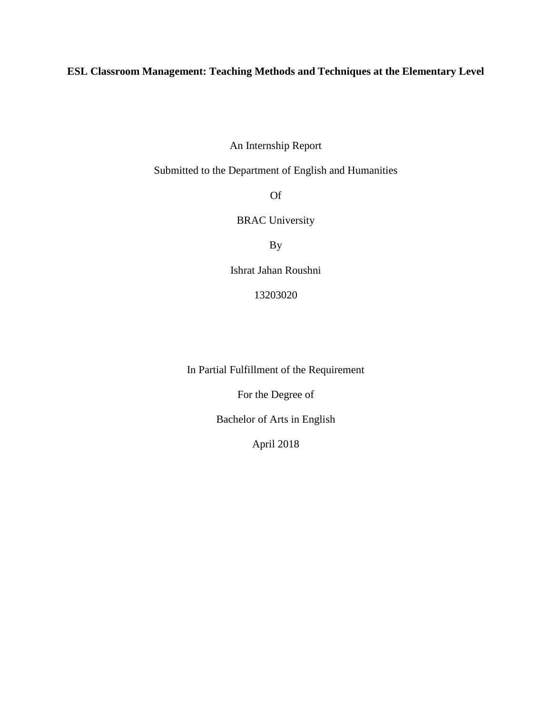## **ESL Classroom Management: Teaching Methods and Techniques at the Elementary Level**

An Internship Report

Submitted to the Department of English and Humanities

Of

BRAC University

By

Ishrat Jahan Roushni

13203020

In Partial Fulfillment of the Requirement

For the Degree of

Bachelor of Arts in English

April 2018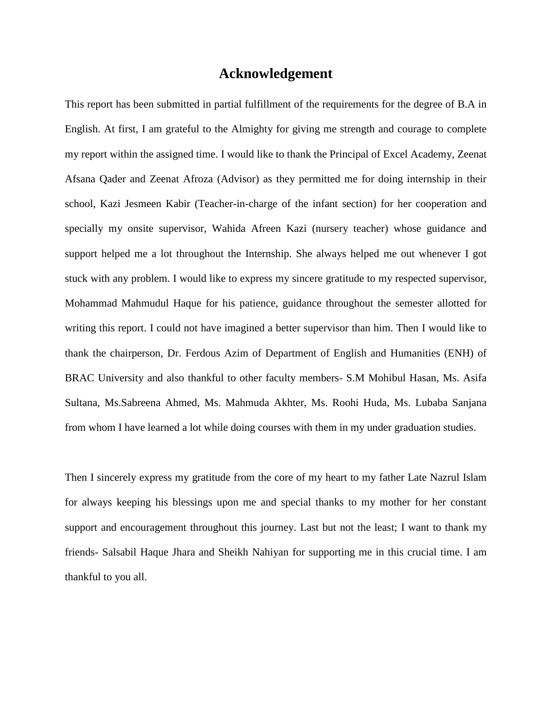## **Acknowledgement**

This report has been submitted in partial fulfillment of the requirements for the degree of B.A in English. At first, I am grateful to the Almighty for giving me strength and courage to complete my report within the assigned time. I would like to thank the Principal of Excel Academy, Zeenat Afsana Qader and Zeenat Afroza (Advisor) as they permitted me for doing internship in their school, Kazi Jesmeen Kabir (Teacher-in-charge of the infant section) for her cooperation and specially my onsite supervisor, Wahida Afreen Kazi (nursery teacher) whose guidance and support helped me a lot throughout the Internship. She always helped me out whenever I got stuck with any problem. I would like to express my sincere gratitude to my respected supervisor, Mohammad Mahmudul Haque for his patience, guidance throughout the semester allotted for writing this report. I could not have imagined a better supervisor than him. Then I would like to thank the chairperson, Dr. Ferdous Azim of Department of English and Humanities (ENH) of BRAC University and also thankful to other faculty members- S.M Mohibul Hasan, Ms. Asifa Sultana, Ms.Sabreena Ahmed, Ms. Mahmuda Akhter, Ms. Roohi Huda, Ms. Lubaba Sanjana from whom I have learned a lot while doing courses with them in my under graduation studies.

Then I sincerely express my gratitude from the core of my heart to my father Late Nazrul Islam for always keeping his blessings upon me and special thanks to my mother for her constant support and encouragement throughout this journey. Last but not the least; I want to thank my friends- Salsabil Haque Jhara and Sheikh Nahiyan for supporting me in this crucial time. I am thankful to you all.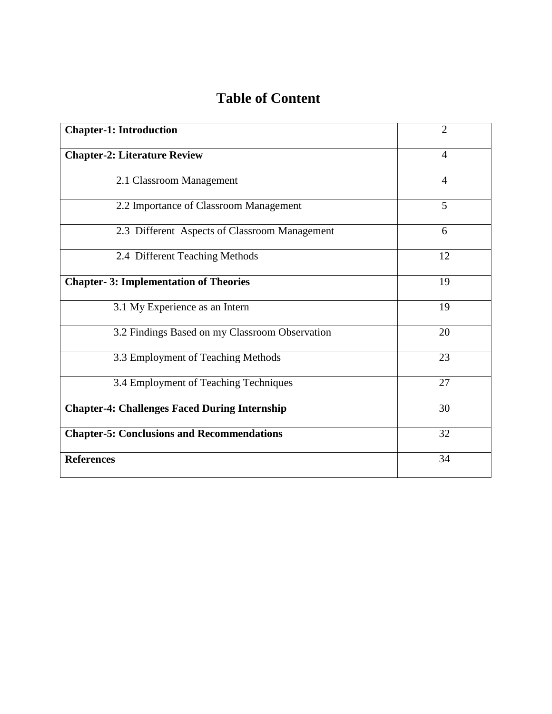# **Table of Content**

| <b>Chapter-1: Introduction</b>                       | $\overline{2}$ |
|------------------------------------------------------|----------------|
| <b>Chapter-2: Literature Review</b>                  | $\overline{4}$ |
| 2.1 Classroom Management                             | $\overline{4}$ |
| 2.2 Importance of Classroom Management               | 5              |
| 2.3 Different Aspects of Classroom Management        | 6              |
| 2.4 Different Teaching Methods                       | 12             |
| <b>Chapter-3: Implementation of Theories</b>         | 19             |
| 3.1 My Experience as an Intern                       | 19             |
| 3.2 Findings Based on my Classroom Observation       | 20             |
| 3.3 Employment of Teaching Methods                   | 23             |
| 3.4 Employment of Teaching Techniques                | 27             |
| <b>Chapter-4: Challenges Faced During Internship</b> | 30             |
| <b>Chapter-5: Conclusions and Recommendations</b>    | 32             |
| <b>References</b>                                    | 34             |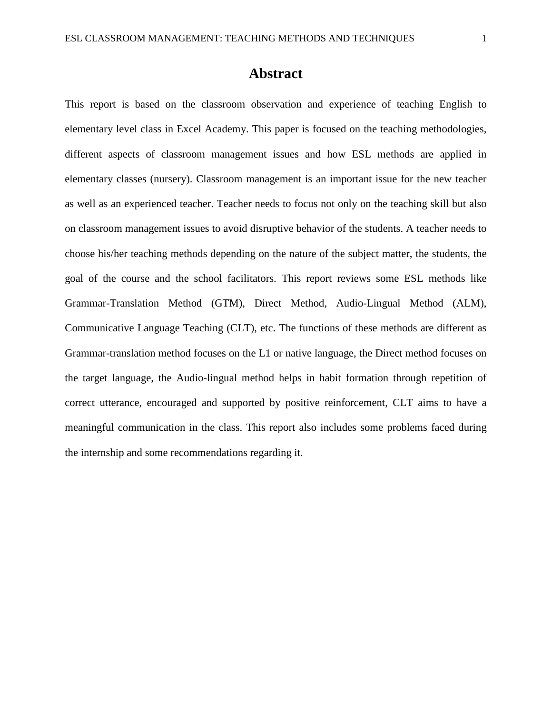## **Abstract**

This report is based on the classroom observation and experience of teaching English to elementary level class in Excel Academy. This paper is focused on the teaching methodologies, different aspects of classroom management issues and how ESL methods are applied in elementary classes (nursery). Classroom management is an important issue for the new teacher as well as an experienced teacher. Teacher needs to focus not only on the teaching skill but also on classroom management issues to avoid disruptive behavior of the students. A teacher needs to choose his/her teaching methods depending on the nature of the subject matter, the students, the goal of the course and the school facilitators. This report reviews some ESL methods like Grammar-Translation Method (GTM), Direct Method, Audio-Lingual Method (ALM), Communicative Language Teaching (CLT), etc. The functions of these methods are different as Grammar-translation method focuses on the L1 or native language, the Direct method focuses on the target language, the Audio-lingual method helps in habit formation through repetition of correct utterance, encouraged and supported by positive reinforcement, CLT aims to have a meaningful communication in the class. This report also includes some problems faced during the internship and some recommendations regarding it.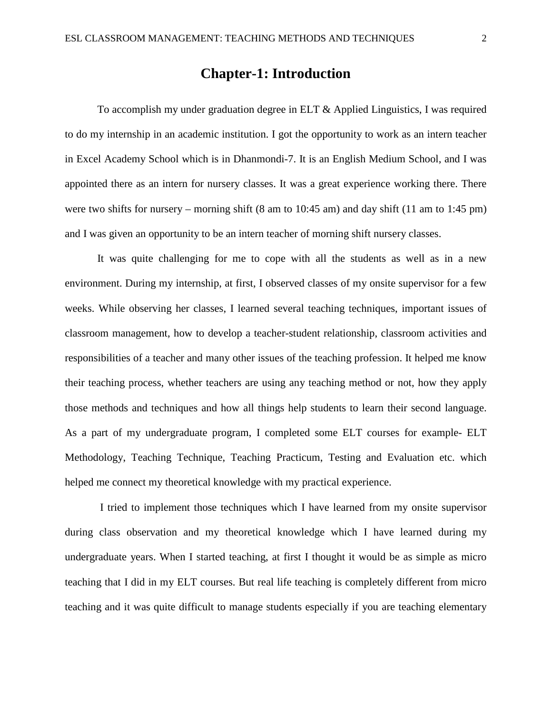## **Chapter-1: Introduction**

To accomplish my under graduation degree in ELT & Applied Linguistics, I was required to do my internship in an academic institution. I got the opportunity to work as an intern teacher in Excel Academy School which is in Dhanmondi-7. It is an English Medium School, and I was appointed there as an intern for nursery classes. It was a great experience working there. There were two shifts for nursery – morning shift (8 am to 10:45 am) and day shift (11 am to 1:45 pm) and I was given an opportunity to be an intern teacher of morning shift nursery classes.

It was quite challenging for me to cope with all the students as well as in a new environment. During my internship, at first, I observed classes of my onsite supervisor for a few weeks. While observing her classes, I learned several teaching techniques, important issues of classroom management, how to develop a teacher-student relationship, classroom activities and responsibilities of a teacher and many other issues of the teaching profession. It helped me know their teaching process, whether teachers are using any teaching method or not, how they apply those methods and techniques and how all things help students to learn their second language. As a part of my undergraduate program, I completed some ELT courses for example- ELT Methodology, Teaching Technique, Teaching Practicum, Testing and Evaluation etc. which helped me connect my theoretical knowledge with my practical experience.

I tried to implement those techniques which I have learned from my onsite supervisor during class observation and my theoretical knowledge which I have learned during my undergraduate years. When I started teaching, at first I thought it would be as simple as micro teaching that I did in my ELT courses. But real life teaching is completely different from micro teaching and it was quite difficult to manage students especially if you are teaching elementary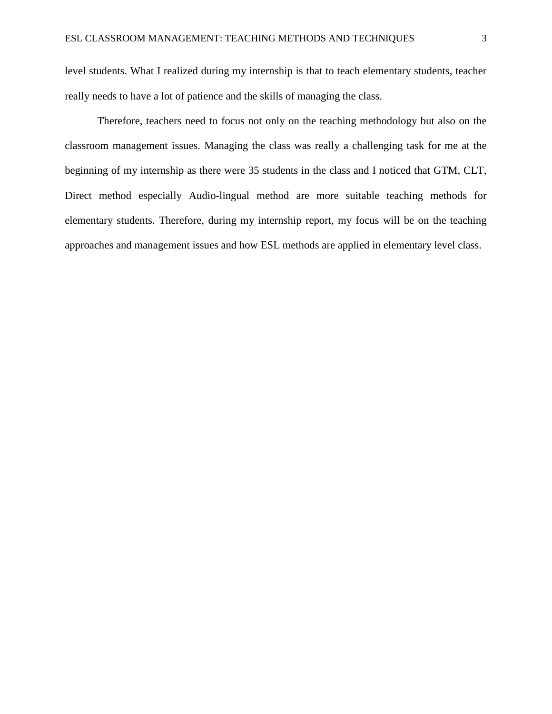level students. What I realized during my internship is that to teach elementary students, teacher really needs to have a lot of patience and the skills of managing the class.

Therefore, teachers need to focus not only on the teaching methodology but also on the classroom management issues. Managing the class was really a challenging task for me at the beginning of my internship as there were 35 students in the class and I noticed that GTM, CLT, Direct method especially Audio-lingual method are more suitable teaching methods for elementary students. Therefore, during my internship report, my focus will be on the teaching approaches and management issues and how ESL methods are applied in elementary level class.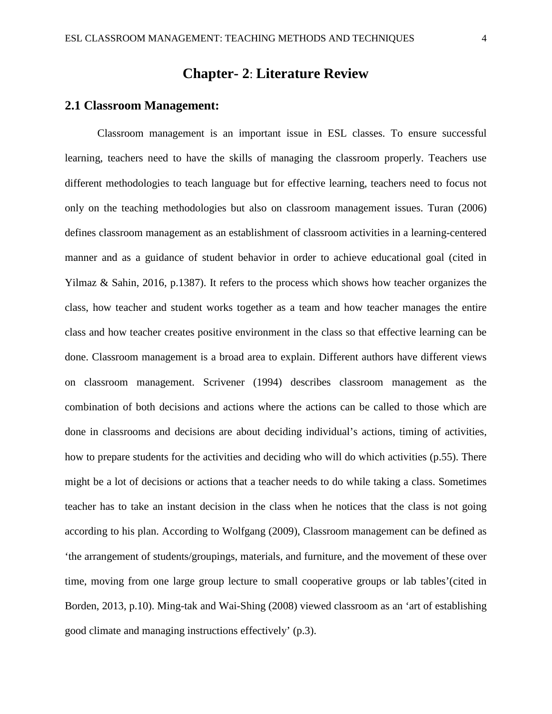## **Chapter- 2**: **Literature Review**

### **2.1 Classroom Management:**

Classroom management is an important issue in ESL classes. To ensure successful learning, teachers need to have the skills of managing the classroom properly. Teachers use different methodologies to teach language but for effective learning, teachers need to focus not only on the teaching methodologies but also on classroom management issues. Turan (2006) defines classroom management as an establishment of classroom activities in a learning-centered manner and as a guidance of student behavior in order to achieve educational goal (cited in Yilmaz & Sahin, 2016, p.1387). It refers to the process which shows how teacher organizes the class, how teacher and student works together as a team and how teacher manages the entire class and how teacher creates positive environment in the class so that effective learning can be done. Classroom management is a broad area to explain. Different authors have different views on classroom management. Scrivener (1994) describes classroom management as the combination of both decisions and actions where the actions can be called to those which are done in classrooms and decisions are about deciding individual's actions, timing of activities, how to prepare students for the activities and deciding who will do which activities (p.55). There might be a lot of decisions or actions that a teacher needs to do while taking a class. Sometimes teacher has to take an instant decision in the class when he notices that the class is not going according to his plan. According to Wolfgang (2009), Classroom management can be defined as 'the arrangement of students/groupings, materials, and furniture, and the movement of these over time, moving from one large group lecture to small cooperative groups or lab tables'(cited in Borden, 2013, p.10). Ming-tak and Wai-Shing (2008) viewed classroom as an 'art of establishing good climate and managing instructions effectively' (p.3).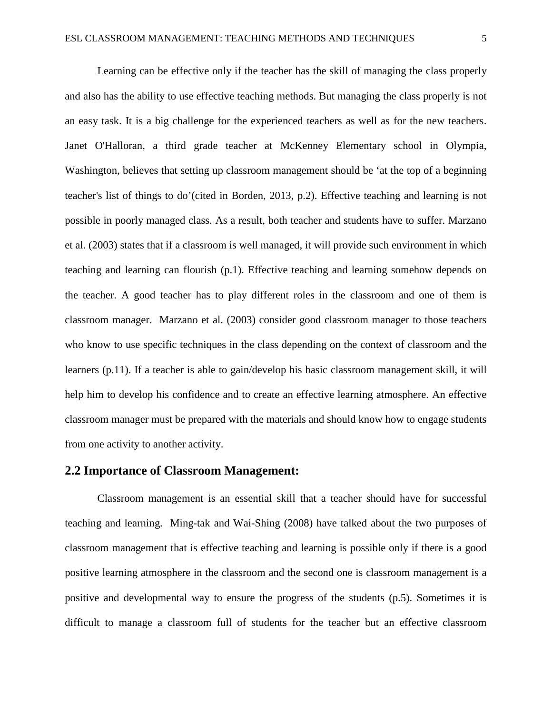Learning can be effective only if the teacher has the skill of managing the class properly and also has the ability to use effective teaching methods. But managing the class properly is not an easy task. It is a big challenge for the experienced teachers as well as for the new teachers. Janet O'Halloran, a third grade teacher at McKenney Elementary school in Olympia, Washington, believes that setting up classroom management should be 'at the top of a beginning teacher's list of things to do'(cited in Borden, 2013, p.2). Effective teaching and learning is not possible in poorly managed class. As a result, both teacher and students have to suffer. Marzano et al. (2003) states that if a classroom is well managed, it will provide such environment in which teaching and learning can flourish (p.1). Effective teaching and learning somehow depends on the teacher. A good teacher has to play different roles in the classroom and one of them is classroom manager. Marzano et al. (2003) consider good classroom manager to those teachers who know to use specific techniques in the class depending on the context of classroom and the learners (p.11). If a teacher is able to gain/develop his basic classroom management skill, it will help him to develop his confidence and to create an effective learning atmosphere. An effective classroom manager must be prepared with the materials and should know how to engage students from one activity to another activity.

### **2.2 Importance of Classroom Management:**

Classroom management is an essential skill that a teacher should have for successful teaching and learning. Ming-tak and Wai-Shing (2008) have talked about the two purposes of classroom management that is effective teaching and learning is possible only if there is a good positive learning atmosphere in the classroom and the second one is classroom management is a positive and developmental way to ensure the progress of the students (p.5). Sometimes it is difficult to manage a classroom full of students for the teacher but an effective classroom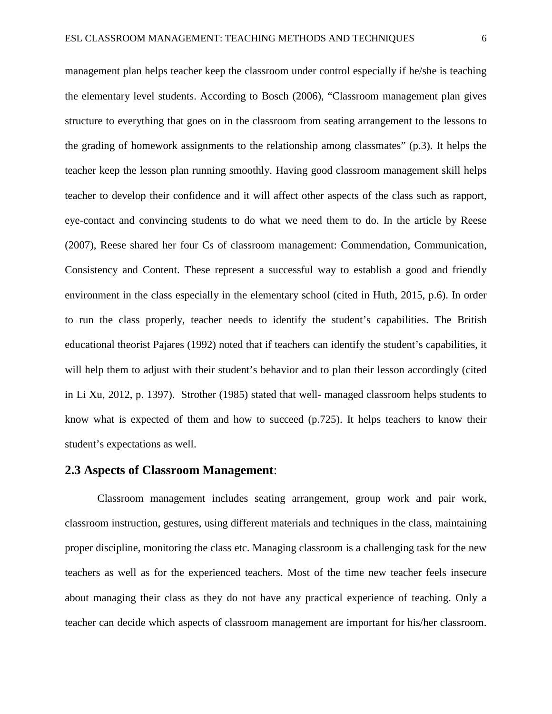management plan helps teacher keep the classroom under control especially if he/she is teaching the elementary level students. According to Bosch (2006), "Classroom management plan gives structure to everything that goes on in the classroom from seating arrangement to the lessons to the grading of homework assignments to the relationship among classmates" (p.3). It helps the teacher keep the lesson plan running smoothly. Having good classroom management skill helps teacher to develop their confidence and it will affect other aspects of the class such as rapport, eye-contact and convincing students to do what we need them to do. In the article by Reese (2007), Reese shared her four Cs of classroom management: Commendation, Communication, Consistency and Content. These represent a successful way to establish a good and friendly environment in the class especially in the elementary school (cited in Huth, 2015, p.6). In order to run the class properly, teacher needs to identify the student's capabilities. The British educational theorist Pajares (1992) noted that if teachers can identify the student's capabilities, it will help them to adjust with their student's behavior and to plan their lesson accordingly (cited in Li Xu, 2012, p. 1397). Strother (1985) stated that well- managed classroom helps students to know what is expected of them and how to succeed (p.725). It helps teachers to know their student's expectations as well.

### **2.3 Aspects of Classroom Management**:

Classroom management includes seating arrangement, group work and pair work, classroom instruction, gestures, using different materials and techniques in the class, maintaining proper discipline, monitoring the class etc. Managing classroom is a challenging task for the new teachers as well as for the experienced teachers. Most of the time new teacher feels insecure about managing their class as they do not have any practical experience of teaching. Only a teacher can decide which aspects of classroom management are important for his/her classroom.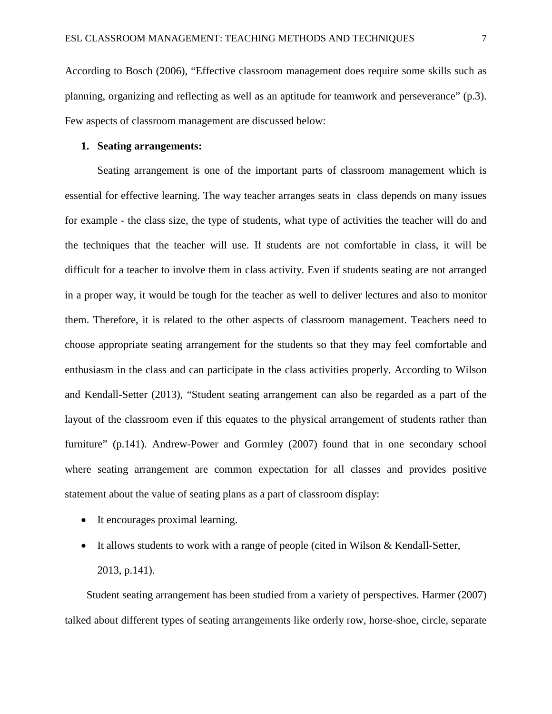According to Bosch (2006), "Effective classroom management does require some skills such as planning, organizing and reflecting as well as an aptitude for teamwork and perseverance" (p.3). Few aspects of classroom management are discussed below:

#### **1. Seating arrangements:**

Seating arrangement is one of the important parts of classroom management which is essential for effective learning. The way teacher arranges seats in class depends on many issues for example - the class size, the type of students, what type of activities the teacher will do and the techniques that the teacher will use. If students are not comfortable in class, it will be difficult for a teacher to involve them in class activity. Even if students seating are not arranged in a proper way, it would be tough for the teacher as well to deliver lectures and also to monitor them. Therefore, it is related to the other aspects of classroom management. Teachers need to choose appropriate seating arrangement for the students so that they may feel comfortable and enthusiasm in the class and can participate in the class activities properly. According to Wilson and Kendall-Setter (2013), "Student seating arrangement can also be regarded as a part of the layout of the classroom even if this equates to the physical arrangement of students rather than furniture" (p.141). Andrew-Power and Gormley (2007) found that in one secondary school where seating arrangement are common expectation for all classes and provides positive statement about the value of seating plans as a part of classroom display:

- It encourages proximal learning.
- It allows students to work with a range of people (cited in Wilson & Kendall-Setter, 2013, p.141).

 Student seating arrangement has been studied from a variety of perspectives. Harmer (2007) talked about different types of seating arrangements like orderly row, horse-shoe, circle, separate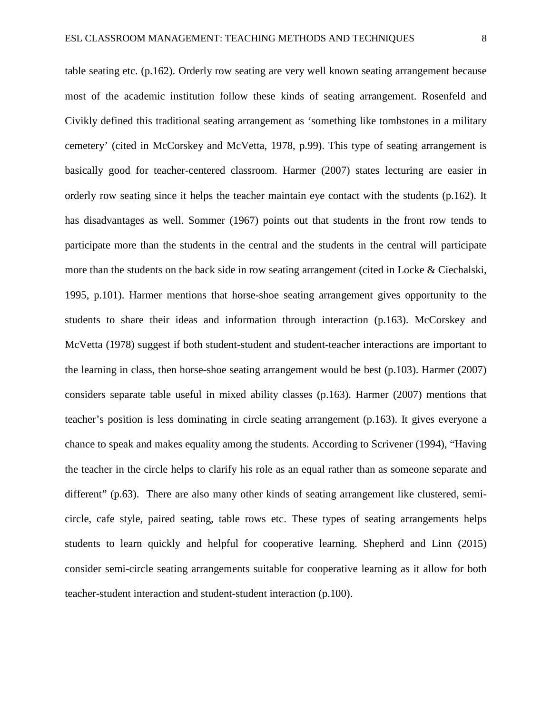table seating etc. (p.162). Orderly row seating are very well known seating arrangement because most of the academic institution follow these kinds of seating arrangement. Rosenfeld and Civikly defined this traditional seating arrangement as 'something like tombstones in a military cemetery' (cited in McCorskey and McVetta, 1978, p.99). This type of seating arrangement is basically good for teacher-centered classroom. Harmer (2007) states lecturing are easier in orderly row seating since it helps the teacher maintain eye contact with the students (p.162). It has disadvantages as well. Sommer (1967) points out that students in the front row tends to participate more than the students in the central and the students in the central will participate more than the students on the back side in row seating arrangement (cited in Locke & Ciechalski, 1995, p.101). Harmer mentions that horse-shoe seating arrangement gives opportunity to the students to share their ideas and information through interaction (p.163). McCorskey and McVetta (1978) suggest if both student-student and student-teacher interactions are important to the learning in class, then horse-shoe seating arrangement would be best (p.103). Harmer (2007) considers separate table useful in mixed ability classes (p.163). Harmer (2007) mentions that teacher's position is less dominating in circle seating arrangement (p.163). It gives everyone a

chance to speak and makes equality among the students. According to Scrivener (1994), "Having the teacher in the circle helps to clarify his role as an equal rather than as someone separate and different" (p.63). There are also many other kinds of seating arrangement like clustered, semicircle, cafe style, paired seating, table rows etc. These types of seating arrangements helps students to learn quickly and helpful for cooperative learning. Shepherd and Linn (2015) consider semi-circle seating arrangements suitable for cooperative learning as it allow for both teacher-student interaction and student-student interaction (p.100).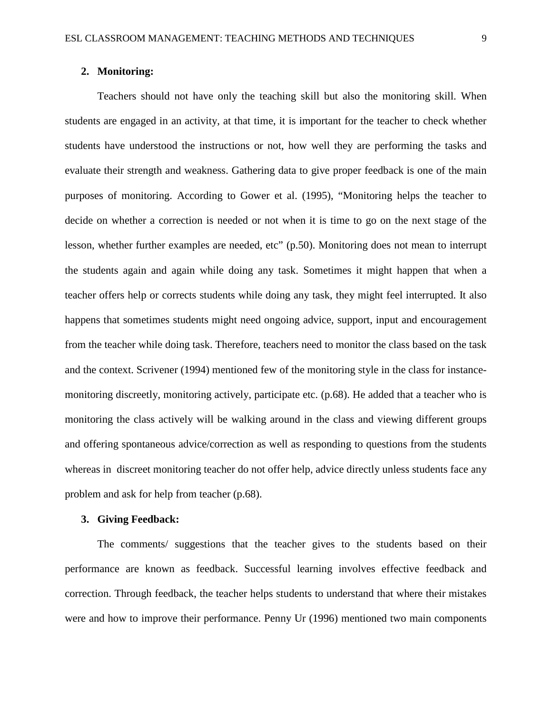#### **2. Monitoring:**

Teachers should not have only the teaching skill but also the monitoring skill. When students are engaged in an activity, at that time, it is important for the teacher to check whether students have understood the instructions or not, how well they are performing the tasks and evaluate their strength and weakness. Gathering data to give proper feedback is one of the main purposes of monitoring. According to Gower et al. (1995), "Monitoring helps the teacher to decide on whether a correction is needed or not when it is time to go on the next stage of the lesson, whether further examples are needed, etc" (p.50). Monitoring does not mean to interrupt the students again and again while doing any task. Sometimes it might happen that when a teacher offers help or corrects students while doing any task, they might feel interrupted. It also happens that sometimes students might need ongoing advice, support, input and encouragement from the teacher while doing task. Therefore, teachers need to monitor the class based on the task and the context. Scrivener (1994) mentioned few of the monitoring style in the class for instancemonitoring discreetly, monitoring actively, participate etc. (p.68). He added that a teacher who is monitoring the class actively will be walking around in the class and viewing different groups and offering spontaneous advice/correction as well as responding to questions from the students whereas in discreet monitoring teacher do not offer help, advice directly unless students face any problem and ask for help from teacher (p.68).

#### **3. Giving Feedback:**

The comments/ suggestions that the teacher gives to the students based on their performance are known as feedback. Successful learning involves effective feedback and correction. Through feedback, the teacher helps students to understand that where their mistakes were and how to improve their performance. Penny Ur (1996) mentioned two main components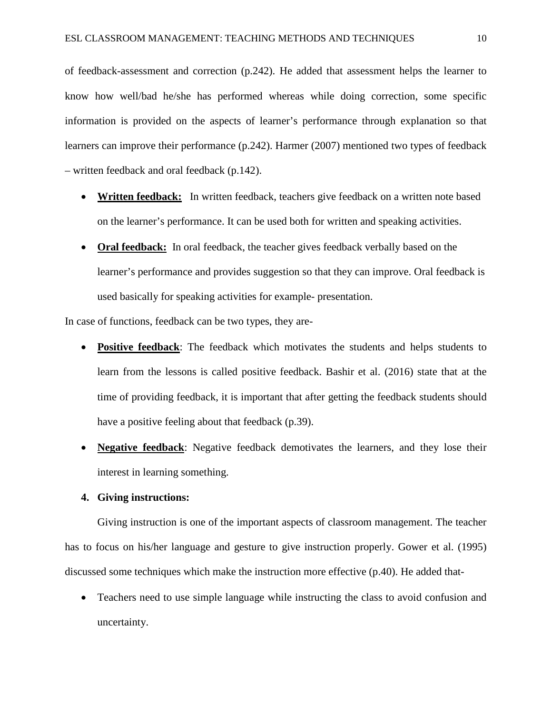of feedback-assessment and correction (p.242). He added that assessment helps the learner to know how well/bad he/she has performed whereas while doing correction, some specific information is provided on the aspects of learner's performance through explanation so that learners can improve their performance (p.242). Harmer (2007) mentioned two types of feedback – written feedback and oral feedback (p.142).

- **Written feedback:** In written feedback, teachers give feedback on a written note based on the learner's performance. It can be used both for written and speaking activities.
- **Oral feedback:** In oral feedback, the teacher gives feedback verbally based on the learner's performance and provides suggestion so that they can improve. Oral feedback is used basically for speaking activities for example- presentation.

In case of functions, feedback can be two types, they are-

- **Positive feedback**: The feedback which motivates the students and helps students to learn from the lessons is called positive feedback. Bashir et al. (2016) state that at the time of providing feedback, it is important that after getting the feedback students should have a positive feeling about that feedback (p.39).
- **Negative feedback**: Negative feedback demotivates the learners, and they lose their interest in learning something.

## **4. Giving instructions:**

Giving instruction is one of the important aspects of classroom management. The teacher has to focus on his/her language and gesture to give instruction properly. Gower et al. (1995) discussed some techniques which make the instruction more effective (p.40). He added that-

• Teachers need to use simple language while instructing the class to avoid confusion and uncertainty.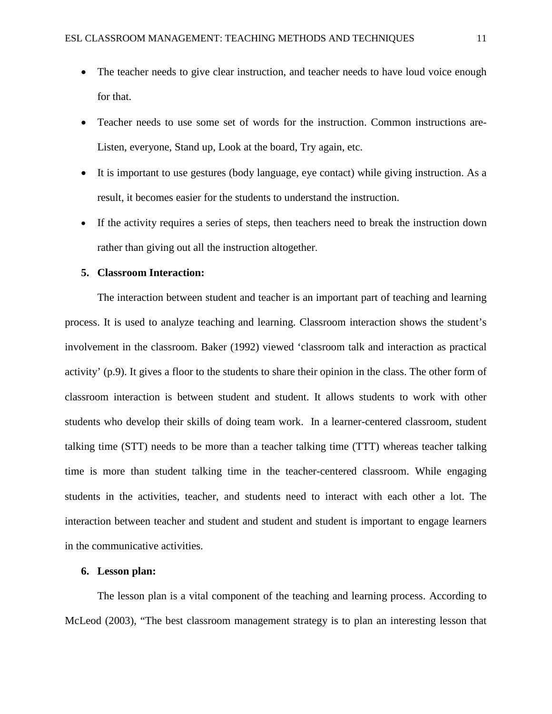- The teacher needs to give clear instruction, and teacher needs to have loud voice enough for that.
- Teacher needs to use some set of words for the instruction. Common instructions are-Listen, everyone, Stand up, Look at the board, Try again, etc.
- It is important to use gestures (body language, eye contact) while giving instruction. As a result, it becomes easier for the students to understand the instruction.
- If the activity requires a series of steps, then teachers need to break the instruction down rather than giving out all the instruction altogether.

### **5. Classroom Interaction:**

The interaction between student and teacher is an important part of teaching and learning process. It is used to analyze teaching and learning. Classroom interaction shows the student's involvement in the classroom. Baker (1992) viewed 'classroom talk and interaction as practical activity' (p.9). It gives a floor to the students to share their opinion in the class. The other form of classroom interaction is between student and student. It allows students to work with other students who develop their skills of doing team work. In a learner-centered classroom, student talking time (STT) needs to be more than a teacher talking time (TTT) whereas teacher talking time is more than student talking time in the teacher-centered classroom. While engaging students in the activities, teacher, and students need to interact with each other a lot. The interaction between teacher and student and student and student is important to engage learners in the communicative activities.

### **6. Lesson plan:**

The lesson plan is a vital component of the teaching and learning process. According to McLeod (2003), "The best classroom management strategy is to plan an interesting lesson that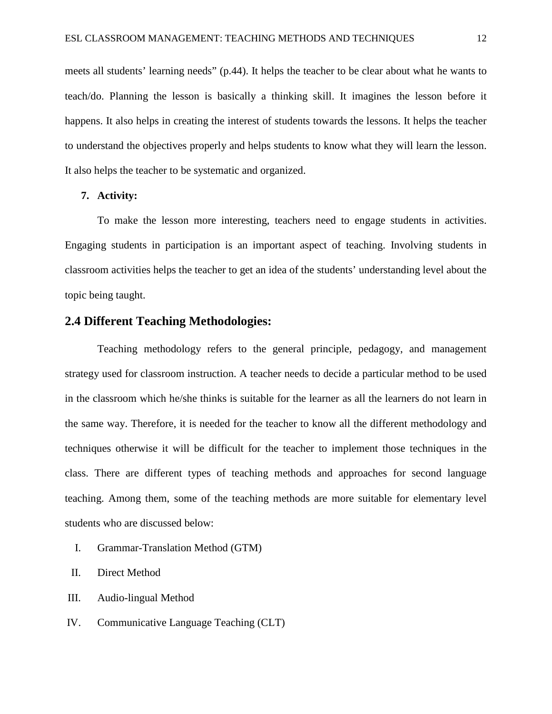meets all students' learning needs" (p.44). It helps the teacher to be clear about what he wants to teach/do. Planning the lesson is basically a thinking skill. It imagines the lesson before it happens. It also helps in creating the interest of students towards the lessons. It helps the teacher to understand the objectives properly and helps students to know what they will learn the lesson. It also helps the teacher to be systematic and organized.

### **7. Activity:**

To make the lesson more interesting, teachers need to engage students in activities. Engaging students in participation is an important aspect of teaching. Involving students in classroom activities helps the teacher to get an idea of the students' understanding level about the topic being taught.

### **2.4 Different Teaching Methodologies:**

Teaching methodology refers to the general principle, pedagogy, and management strategy used for classroom instruction. A teacher needs to decide a particular method to be used in the classroom which he/she thinks is suitable for the learner as all the learners do not learn in the same way. Therefore, it is needed for the teacher to know all the different methodology and techniques otherwise it will be difficult for the teacher to implement those techniques in the class. There are different types of teaching methods and approaches for second language teaching. Among them, some of the teaching methods are more suitable for elementary level students who are discussed below:

- I. Grammar-Translation Method (GTM)
- II. Direct Method
- III. Audio-lingual Method
- IV. Communicative Language Teaching (CLT)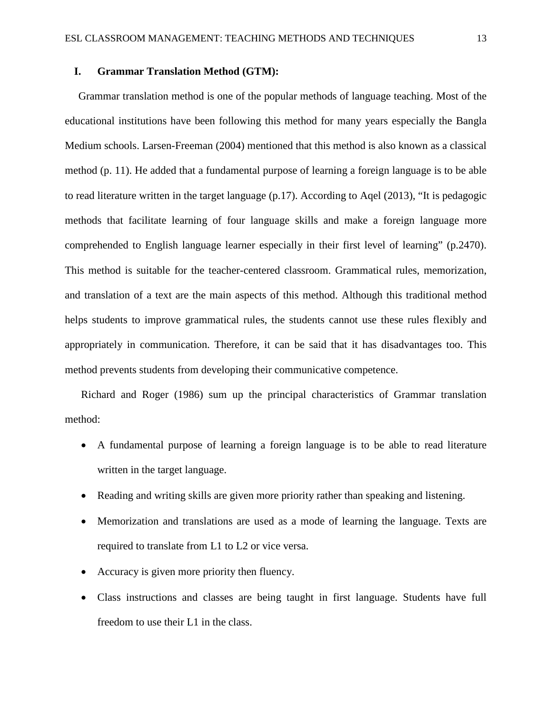### **I. Grammar Translation Method (GTM):**

 Grammar translation method is one of the popular methods of language teaching. Most of the educational institutions have been following this method for many years especially the Bangla Medium schools. Larsen-Freeman (2004) mentioned that this method is also known as a classical method (p. 11). He added that a fundamental purpose of learning a foreign language is to be able to read literature written in the target language (p.17). According to Aqel (2013), "It is pedagogic methods that facilitate learning of four language skills and make a foreign language more comprehended to English language learner especially in their first level of learning" (p.2470). This method is suitable for the teacher-centered classroom. Grammatical rules, memorization, and translation of a text are the main aspects of this method. Although this traditional method helps students to improve grammatical rules, the students cannot use these rules flexibly and appropriately in communication. Therefore, it can be said that it has disadvantages too. This method prevents students from developing their communicative competence.

Richard and Roger (1986) sum up the principal characteristics of Grammar translation method:

- A fundamental purpose of learning a foreign language is to be able to read literature written in the target language.
- Reading and writing skills are given more priority rather than speaking and listening.
- Memorization and translations are used as a mode of learning the language. Texts are required to translate from L1 to L2 or vice versa.
- Accuracy is given more priority then fluency.
- Class instructions and classes are being taught in first language. Students have full freedom to use their L1 in the class.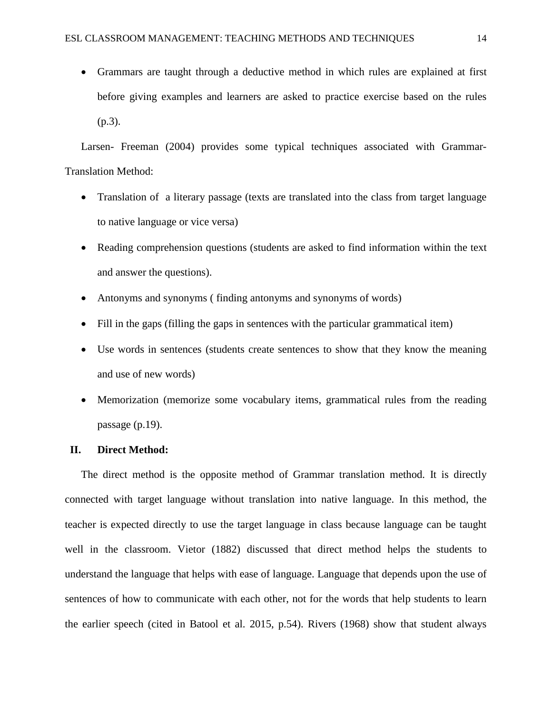• Grammars are taught through a deductive method in which rules are explained at first before giving examples and learners are asked to practice exercise based on the rules (p.3).

Larsen- Freeman (2004) provides some typical techniques associated with Grammar-Translation Method:

- Translation of a literary passage (texts are translated into the class from target language to native language or vice versa)
- Reading comprehension questions (students are asked to find information within the text and answer the questions).
- Antonyms and synonyms (finding antonyms and synonyms of words)
- Fill in the gaps (filling the gaps in sentences with the particular grammatical item)
- Use words in sentences (students create sentences to show that they know the meaning and use of new words)
- Memorization (memorize some vocabulary items, grammatical rules from the reading passage (p.19).

#### **II. Direct Method:**

The direct method is the opposite method of Grammar translation method. It is directly connected with target language without translation into native language. In this method, the teacher is expected directly to use the target language in class because language can be taught well in the classroom. Vietor (1882) discussed that direct method helps the students to understand the language that helps with ease of language. Language that depends upon the use of sentences of how to communicate with each other, not for the words that help students to learn the earlier speech (cited in Batool et al. 2015, p.54). Rivers (1968) show that student always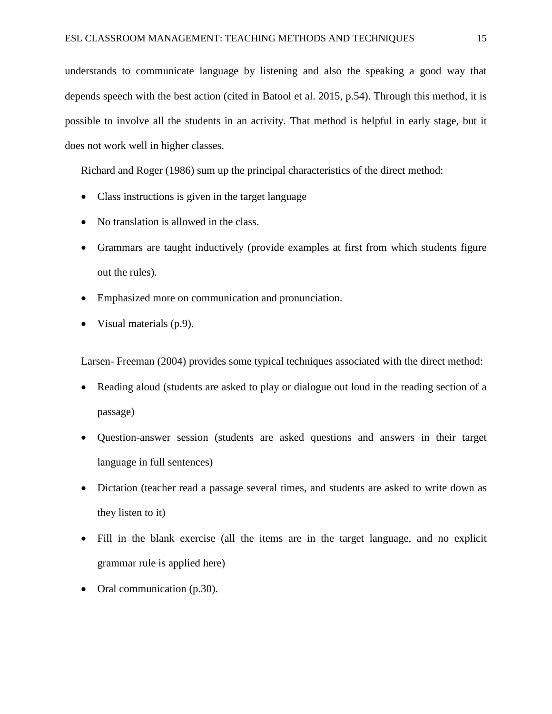understands to communicate language by listening and also the speaking a good way that depends speech with the best action (cited in Batool et al. 2015, p.54). Through this method, it is possible to involve all the students in an activity. That method is helpful in early stage, but it does not work well in higher classes.

Richard and Roger (1986) sum up the principal characteristics of the direct method:

- Class instructions is given in the target language
- No translation is allowed in the class.
- Grammars are taught inductively (provide examples at first from which students figure out the rules).
- Emphasized more on communication and pronunciation.
- Visual materials (p.9).

Larsen- Freeman (2004) provides some typical techniques associated with the direct method:

- Reading aloud (students are asked to play or dialogue out loud in the reading section of a passage)
- Question-answer session (students are asked questions and answers in their target language in full sentences)
- Dictation (teacher read a passage several times, and students are asked to write down as they listen to it)
- Fill in the blank exercise (all the items are in the target language, and no explicit grammar rule is applied here)
- Oral communication (p.30).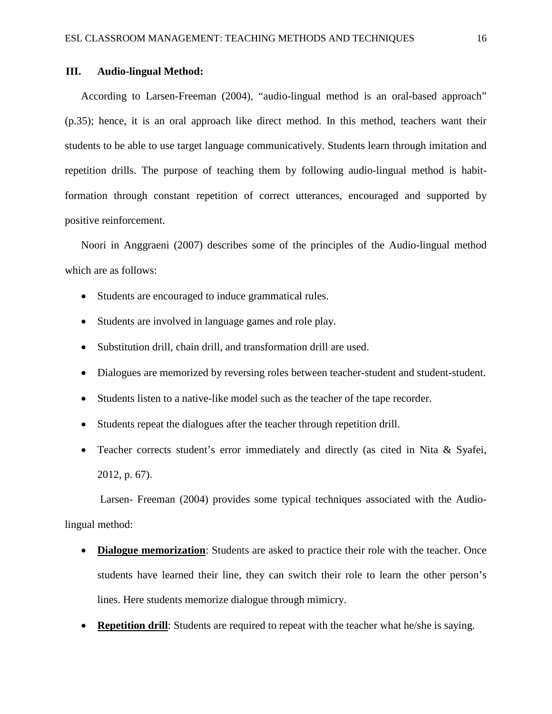### **III. Audio-lingual Method:**

According to Larsen-Freeman (2004), "audio-lingual method is an oral-based approach" (p.35); hence, it is an oral approach like direct method. In this method, teachers want their students to be able to use target language communicatively. Students learn through imitation and repetition drills. The purpose of teaching them by following audio-lingual method is habitformation through constant repetition of correct utterances, encouraged and supported by positive reinforcement.

Noori in Anggraeni (2007) describes some of the principles of the Audio-lingual method which are as follows:

- Students are encouraged to induce grammatical rules.
- Students are involved in language games and role play.
- Substitution drill, chain drill, and transformation drill are used.
- Dialogues are memorized by reversing roles between teacher-student and student-student.
- Students listen to a native-like model such as the teacher of the tape recorder.
- Students repeat the dialogues after the teacher through repetition drill.
- Teacher corrects student's error immediately and directly (as cited in Nita & Syafei, 2012, p. 67).

 Larsen- Freeman (2004) provides some typical techniques associated with the Audiolingual method:

- **Dialogue memorization**: Students are asked to practice their role with the teacher. Once students have learned their line, they can switch their role to learn the other person's lines. Here students memorize dialogue through mimicry.
- **Repetition drill:** Students are required to repeat with the teacher what he/she is saying.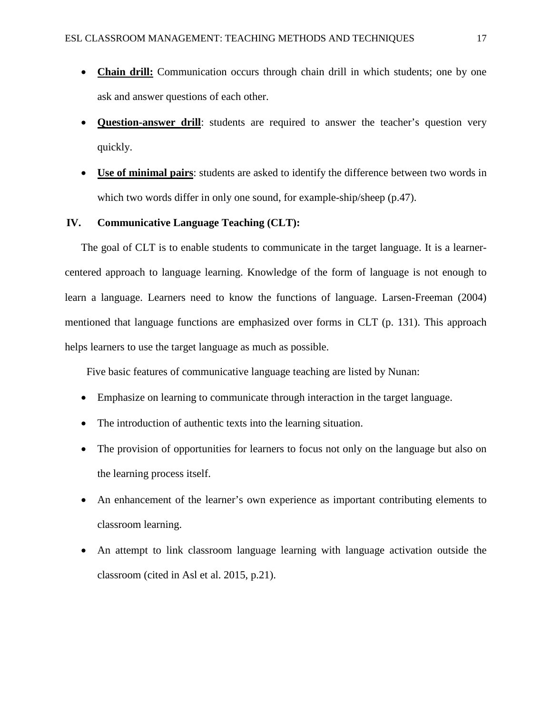- **Chain drill:** Communication occurs through chain drill in which students; one by one ask and answer questions of each other.
- **Question-answer drill**: students are required to answer the teacher's question very quickly.
- **Use of minimal pairs**: students are asked to identify the difference between two words in which two words differ in only one sound, for example-ship/sheep (p.47).

### **IV. Communicative Language Teaching (CLT):**

The goal of CLT is to enable students to communicate in the target language. It is a learnercentered approach to language learning. Knowledge of the form of language is not enough to learn a language. Learners need to know the functions of language. Larsen-Freeman (2004) mentioned that language functions are emphasized over forms in CLT (p. 131). This approach helps learners to use the target language as much as possible.

Five basic features of communicative language teaching are listed by Nunan:

- Emphasize on learning to communicate through interaction in the target language.
- The introduction of authentic texts into the learning situation.
- The provision of opportunities for learners to focus not only on the language but also on the learning process itself.
- An enhancement of the learner's own experience as important contributing elements to classroom learning.
- An attempt to link classroom language learning with language activation outside the classroom (cited in Asl et al. 2015, p.21).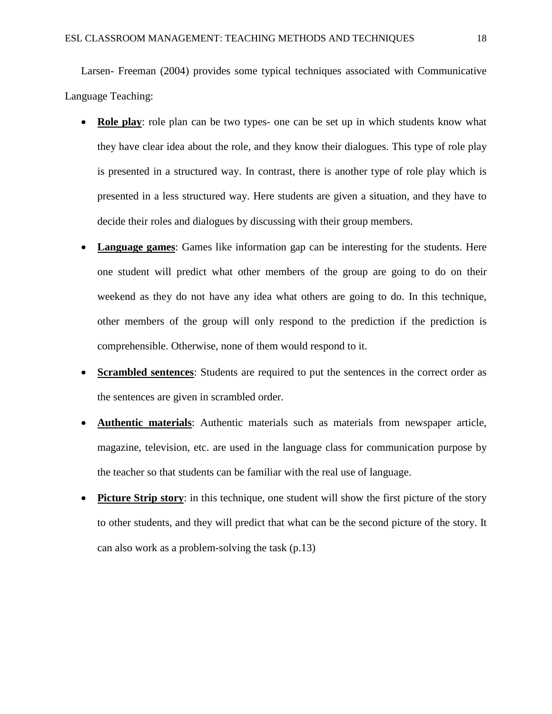Larsen- Freeman (2004) provides some typical techniques associated with Communicative Language Teaching:

- **Role play**: role plan can be two types- one can be set up in which students know what they have clear idea about the role, and they know their dialogues. This type of role play is presented in a structured way. In contrast, there is another type of role play which is presented in a less structured way. Here students are given a situation, and they have to decide their roles and dialogues by discussing with their group members.
- **Language games:** Games like information gap can be interesting for the students. Here one student will predict what other members of the group are going to do on their weekend as they do not have any idea what others are going to do. In this technique, other members of the group will only respond to the prediction if the prediction is comprehensible. Otherwise, none of them would respond to it.
- **Scrambled sentences**: Students are required to put the sentences in the correct order as the sentences are given in scrambled order.
- **Authentic materials**: Authentic materials such as materials from newspaper article, magazine, television, etc. are used in the language class for communication purpose by the teacher so that students can be familiar with the real use of language.
- **Picture Strip story:** in this technique, one student will show the first picture of the story to other students, and they will predict that what can be the second picture of the story. It can also work as a problem-solving the task (p.13)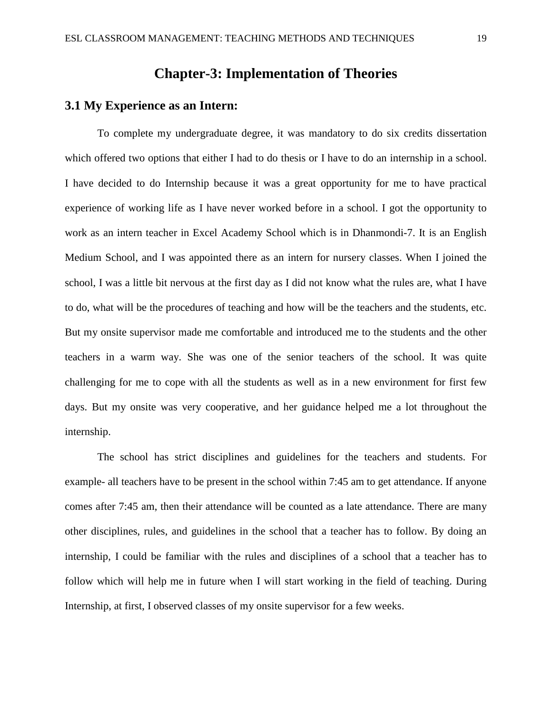## **Chapter-3: Implementation of Theories**

## **3.1 My Experience as an Intern:**

To complete my undergraduate degree, it was mandatory to do six credits dissertation which offered two options that either I had to do thesis or I have to do an internship in a school. I have decided to do Internship because it was a great opportunity for me to have practical experience of working life as I have never worked before in a school. I got the opportunity to work as an intern teacher in Excel Academy School which is in Dhanmondi-7. It is an English Medium School, and I was appointed there as an intern for nursery classes. When I joined the school, I was a little bit nervous at the first day as I did not know what the rules are, what I have to do, what will be the procedures of teaching and how will be the teachers and the students, etc. But my onsite supervisor made me comfortable and introduced me to the students and the other teachers in a warm way. She was one of the senior teachers of the school. It was quite challenging for me to cope with all the students as well as in a new environment for first few days. But my onsite was very cooperative, and her guidance helped me a lot throughout the internship.

The school has strict disciplines and guidelines for the teachers and students. For example- all teachers have to be present in the school within 7:45 am to get attendance. If anyone comes after 7:45 am, then their attendance will be counted as a late attendance. There are many other disciplines, rules, and guidelines in the school that a teacher has to follow. By doing an internship, I could be familiar with the rules and disciplines of a school that a teacher has to follow which will help me in future when I will start working in the field of teaching. During Internship, at first, I observed classes of my onsite supervisor for a few weeks.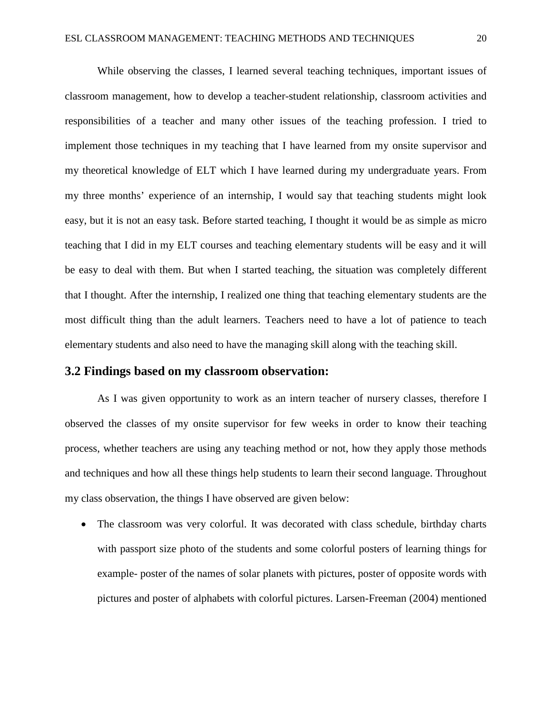While observing the classes, I learned several teaching techniques, important issues of classroom management, how to develop a teacher-student relationship, classroom activities and responsibilities of a teacher and many other issues of the teaching profession. I tried to implement those techniques in my teaching that I have learned from my onsite supervisor and my theoretical knowledge of ELT which I have learned during my undergraduate years. From my three months' experience of an internship, I would say that teaching students might look easy, but it is not an easy task. Before started teaching, I thought it would be as simple as micro teaching that I did in my ELT courses and teaching elementary students will be easy and it will be easy to deal with them. But when I started teaching, the situation was completely different that I thought. After the internship, I realized one thing that teaching elementary students are the most difficult thing than the adult learners. Teachers need to have a lot of patience to teach elementary students and also need to have the managing skill along with the teaching skill.

#### **3.2 Findings based on my classroom observation:**

As I was given opportunity to work as an intern teacher of nursery classes, therefore I observed the classes of my onsite supervisor for few weeks in order to know their teaching process, whether teachers are using any teaching method or not, how they apply those methods and techniques and how all these things help students to learn their second language. Throughout my class observation, the things I have observed are given below:

• The classroom was very colorful. It was decorated with class schedule, birthday charts with passport size photo of the students and some colorful posters of learning things for example- poster of the names of solar planets with pictures, poster of opposite words with pictures and poster of alphabets with colorful pictures. Larsen-Freeman (2004) mentioned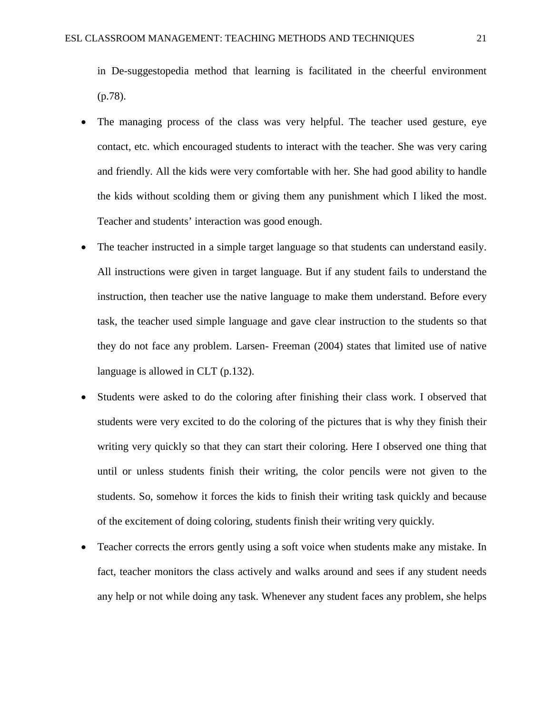in De-suggestopedia method that learning is facilitated in the cheerful environment (p.78).

- The managing process of the class was very helpful. The teacher used gesture, eye contact, etc. which encouraged students to interact with the teacher. She was very caring and friendly. All the kids were very comfortable with her. She had good ability to handle the kids without scolding them or giving them any punishment which I liked the most. Teacher and students' interaction was good enough.
- The teacher instructed in a simple target language so that students can understand easily. All instructions were given in target language. But if any student fails to understand the instruction, then teacher use the native language to make them understand. Before every task, the teacher used simple language and gave clear instruction to the students so that they do not face any problem. Larsen- Freeman (2004) states that limited use of native language is allowed in CLT (p.132).
- Students were asked to do the coloring after finishing their class work. I observed that students were very excited to do the coloring of the pictures that is why they finish their writing very quickly so that they can start their coloring. Here I observed one thing that until or unless students finish their writing, the color pencils were not given to the students. So, somehow it forces the kids to finish their writing task quickly and because of the excitement of doing coloring, students finish their writing very quickly.
- Teacher corrects the errors gently using a soft voice when students make any mistake. In fact, teacher monitors the class actively and walks around and sees if any student needs any help or not while doing any task. Whenever any student faces any problem, she helps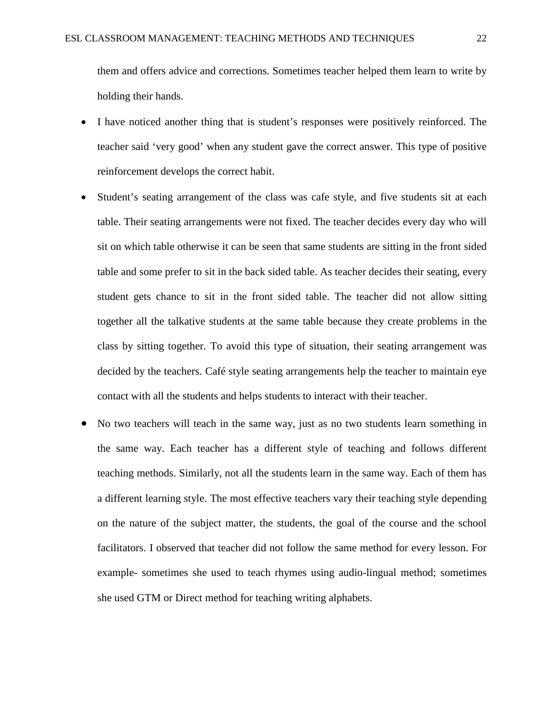them and offers advice and corrections. Sometimes teacher helped them learn to write by holding their hands.

- I have noticed another thing that is student's responses were positively reinforced. The teacher said 'very good' when any student gave the correct answer. This type of positive reinforcement develops the correct habit.
- Student's seating arrangement of the class was cafe style, and five students sit at each table. Their seating arrangements were not fixed. The teacher decides every day who will sit on which table otherwise it can be seen that same students are sitting in the front sided table and some prefer to sit in the back sided table. As teacher decides their seating, every student gets chance to sit in the front sided table. The teacher did not allow sitting together all the talkative students at the same table because they create problems in the class by sitting together. To avoid this type of situation, their seating arrangement was decided by the teachers. Café style seating arrangements help the teacher to maintain eye contact with all the students and helps students to interact with their teacher.
- No two teachers will teach in the same way, just as no two students learn something in the same way. Each teacher has a different style of teaching and follows different teaching methods. Similarly, not all the students learn in the same way. Each of them has a different learning style. The most effective teachers vary their teaching style depending on the nature of the subject matter, the students, the goal of the course and the school facilitators. I observed that teacher did not follow the same method for every lesson. For example- sometimes she used to teach rhymes using audio-lingual method; sometimes she used GTM or Direct method for teaching writing alphabets.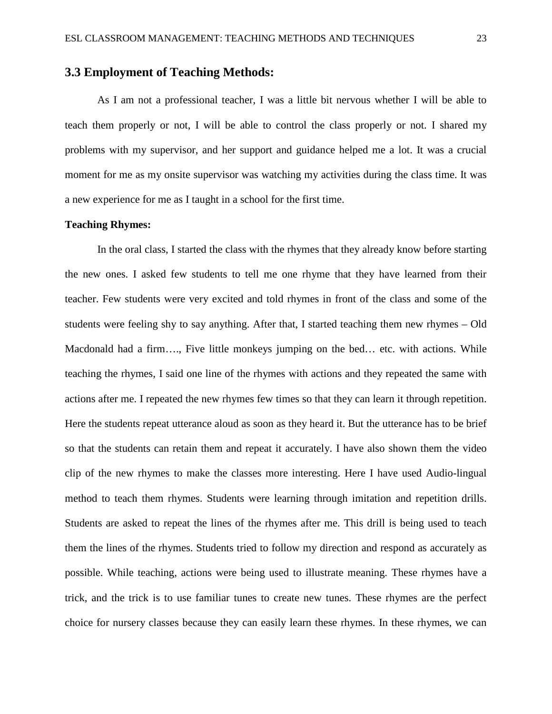## **3.3 Employment of Teaching Methods:**

As I am not a professional teacher, I was a little bit nervous whether I will be able to teach them properly or not, I will be able to control the class properly or not. I shared my problems with my supervisor, and her support and guidance helped me a lot. It was a crucial moment for me as my onsite supervisor was watching my activities during the class time. It was a new experience for me as I taught in a school for the first time.

#### **Teaching Rhymes:**

In the oral class, I started the class with the rhymes that they already know before starting the new ones. I asked few students to tell me one rhyme that they have learned from their teacher. Few students were very excited and told rhymes in front of the class and some of the students were feeling shy to say anything. After that, I started teaching them new rhymes – Old Macdonald had a firm…., Five little monkeys jumping on the bed… etc. with actions. While teaching the rhymes, I said one line of the rhymes with actions and they repeated the same with actions after me. I repeated the new rhymes few times so that they can learn it through repetition. Here the students repeat utterance aloud as soon as they heard it. But the utterance has to be brief so that the students can retain them and repeat it accurately. I have also shown them the video clip of the new rhymes to make the classes more interesting. Here I have used Audio-lingual method to teach them rhymes. Students were learning through imitation and repetition drills. Students are asked to repeat the lines of the rhymes after me. This drill is being used to teach them the lines of the rhymes. Students tried to follow my direction and respond as accurately as possible. While teaching, actions were being used to illustrate meaning. These rhymes have a trick, and the trick is to use familiar tunes to create new tunes. These rhymes are the perfect choice for nursery classes because they can easily learn these rhymes. In these rhymes, we can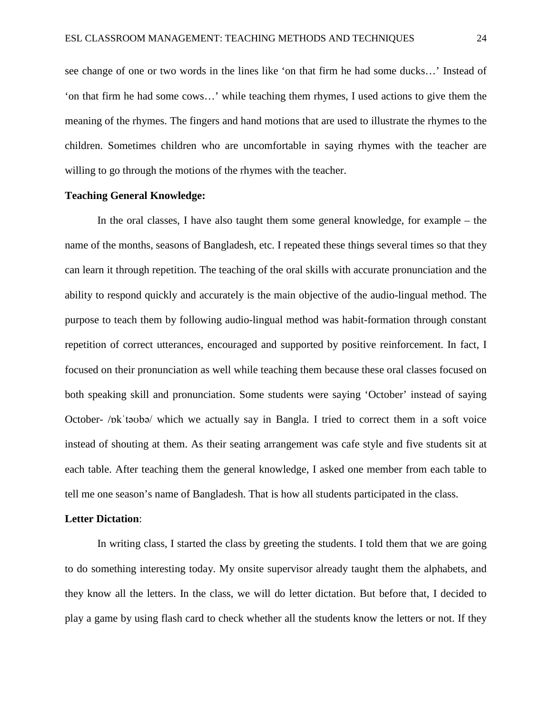see change of one or two words in the lines like 'on that firm he had some ducks…' Instead of 'on that firm he had some cows…' while teaching them rhymes, I used actions to give them the meaning of the rhymes. The fingers and hand motions that are used to illustrate the rhymes to the children. Sometimes children who are uncomfortable in saying rhymes with the teacher are willing to go through the motions of the rhymes with the teacher.

#### **Teaching General Knowledge:**

In the oral classes, I have also taught them some general knowledge, for example – the name of the months, seasons of Bangladesh, etc. I repeated these things several times so that they can learn it through repetition. The teaching of the oral skills with accurate pronunciation and the ability to respond quickly and accurately is the main objective of the audio-lingual method. The purpose to teach them by following audio-lingual method was habit-formation through constant repetition of correct utterances, encouraged and supported by positive reinforcement. In fact, I focused on their pronunciation as well while teaching them because these oral classes focused on both speaking skill and pronunciation. Some students were saying 'October' instead of saying October- /ɒkˈtəʊbə/ which we actually say in Bangla. I tried to correct them in a soft voice instead of shouting at them. As their seating arrangement was cafe style and five students sit at each table. After teaching them the general knowledge, I asked one member from each table to tell me one season's name of Bangladesh. That is how all students participated in the class.

#### **Letter Dictation**:

In writing class, I started the class by greeting the students. I told them that we are going to do something interesting today. My onsite supervisor already taught them the alphabets, and they know all the letters. In the class, we will do letter dictation. But before that, I decided to play a game by using flash card to check whether all the students know the letters or not. If they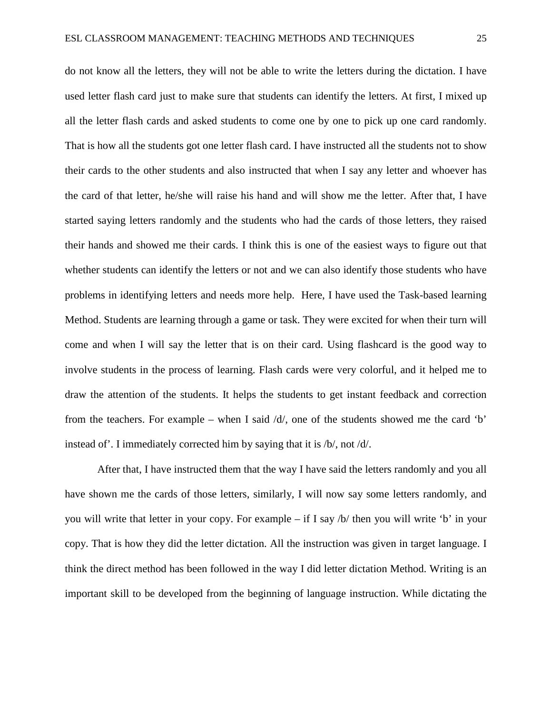do not know all the letters, they will not be able to write the letters during the dictation. I have used letter flash card just to make sure that students can identify the letters. At first, I mixed up all the letter flash cards and asked students to come one by one to pick up one card randomly. That is how all the students got one letter flash card. I have instructed all the students not to show their cards to the other students and also instructed that when I say any letter and whoever has the card of that letter, he/she will raise his hand and will show me the letter. After that, I have started saying letters randomly and the students who had the cards of those letters, they raised their hands and showed me their cards. I think this is one of the easiest ways to figure out that whether students can identify the letters or not and we can also identify those students who have problems in identifying letters and needs more help. Here, I have used the Task-based learning Method. Students are learning through a game or task. They were excited for when their turn will come and when I will say the letter that is on their card. Using flashcard is the good way to involve students in the process of learning. Flash cards were very colorful, and it helped me to draw the attention of the students. It helps the students to get instant feedback and correction from the teachers. For example – when I said  $\frac{d}{d}$ , one of the students showed me the card 'b' instead of'. I immediately corrected him by saying that it is /b/, not /d/.

After that, I have instructed them that the way I have said the letters randomly and you all have shown me the cards of those letters, similarly, I will now say some letters randomly, and you will write that letter in your copy. For example – if I say /b/ then you will write 'b' in your copy. That is how they did the letter dictation. All the instruction was given in target language. I think the direct method has been followed in the way I did letter dictation Method. Writing is an important skill to be developed from the beginning of language instruction. While dictating the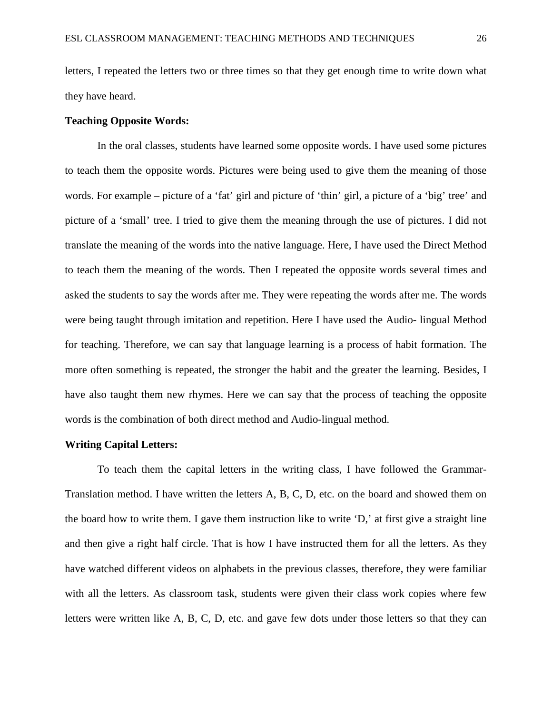letters, I repeated the letters two or three times so that they get enough time to write down what they have heard.

#### **Teaching Opposite Words:**

In the oral classes, students have learned some opposite words. I have used some pictures to teach them the opposite words. Pictures were being used to give them the meaning of those words. For example – picture of a 'fat' girl and picture of 'thin' girl, a picture of a 'big' tree' and picture of a 'small' tree. I tried to give them the meaning through the use of pictures. I did not translate the meaning of the words into the native language. Here, I have used the Direct Method to teach them the meaning of the words. Then I repeated the opposite words several times and asked the students to say the words after me. They were repeating the words after me. The words were being taught through imitation and repetition. Here I have used the Audio- lingual Method for teaching. Therefore, we can say that language learning is a process of habit formation. The more often something is repeated, the stronger the habit and the greater the learning. Besides, I have also taught them new rhymes. Here we can say that the process of teaching the opposite words is the combination of both direct method and Audio-lingual method.

#### **Writing Capital Letters:**

To teach them the capital letters in the writing class, I have followed the Grammar-Translation method. I have written the letters A, B, C, D, etc. on the board and showed them on the board how to write them. I gave them instruction like to write 'D,' at first give a straight line and then give a right half circle. That is how I have instructed them for all the letters. As they have watched different videos on alphabets in the previous classes, therefore, they were familiar with all the letters. As classroom task, students were given their class work copies where few letters were written like A, B, C, D, etc. and gave few dots under those letters so that they can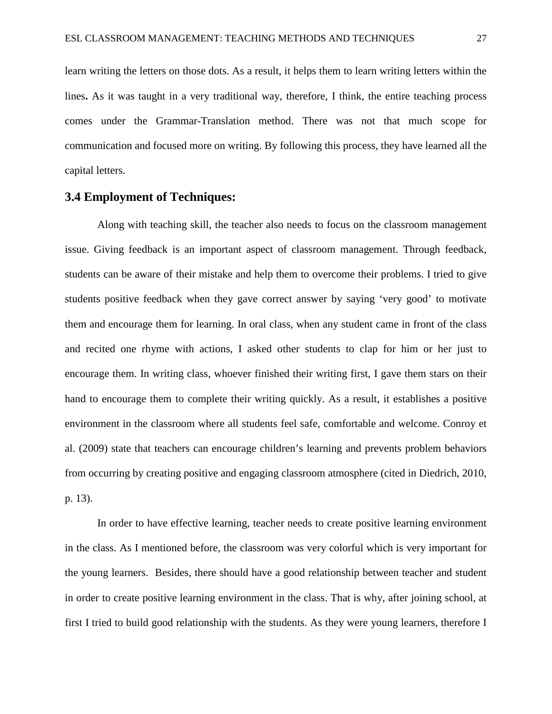learn writing the letters on those dots. As a result, it helps them to learn writing letters within the lines**.** As it was taught in a very traditional way, therefore, I think, the entire teaching process comes under the Grammar-Translation method. There was not that much scope for communication and focused more on writing. By following this process, they have learned all the capital letters.

## **3.4 Employment of Techniques:**

Along with teaching skill, the teacher also needs to focus on the classroom management issue. Giving feedback is an important aspect of classroom management. Through feedback, students can be aware of their mistake and help them to overcome their problems. I tried to give students positive feedback when they gave correct answer by saying 'very good' to motivate them and encourage them for learning. In oral class, when any student came in front of the class and recited one rhyme with actions, I asked other students to clap for him or her just to encourage them. In writing class, whoever finished their writing first, I gave them stars on their hand to encourage them to complete their writing quickly. As a result, it establishes a positive environment in the classroom where all students feel safe, comfortable and welcome. Conroy et al. (2009) state that teachers can encourage children's learning and prevents problem behaviors from occurring by creating positive and engaging classroom atmosphere (cited in Diedrich, 2010, p. 13).

In order to have effective learning, teacher needs to create positive learning environment in the class. As I mentioned before, the classroom was very colorful which is very important for the young learners. Besides, there should have a good relationship between teacher and student in order to create positive learning environment in the class. That is why, after joining school, at first I tried to build good relationship with the students. As they were young learners, therefore I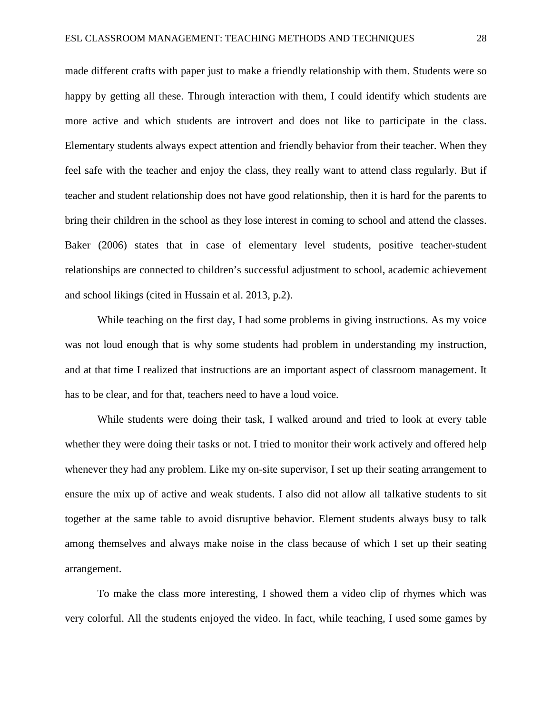made different crafts with paper just to make a friendly relationship with them. Students were so happy by getting all these. Through interaction with them, I could identify which students are more active and which students are introvert and does not like to participate in the class. Elementary students always expect attention and friendly behavior from their teacher. When they feel safe with the teacher and enjoy the class, they really want to attend class regularly. But if teacher and student relationship does not have good relationship, then it is hard for the parents to bring their children in the school as they lose interest in coming to school and attend the classes. Baker (2006) states that in case of elementary level students, positive teacher-student relationships are connected to children's successful adjustment to school, academic achievement and school likings (cited in Hussain et al. 2013, p.2).

While teaching on the first day, I had some problems in giving instructions. As my voice was not loud enough that is why some students had problem in understanding my instruction, and at that time I realized that instructions are an important aspect of classroom management. It has to be clear, and for that, teachers need to have a loud voice.

While students were doing their task, I walked around and tried to look at every table whether they were doing their tasks or not. I tried to monitor their work actively and offered help whenever they had any problem. Like my on-site supervisor, I set up their seating arrangement to ensure the mix up of active and weak students. I also did not allow all talkative students to sit together at the same table to avoid disruptive behavior. Element students always busy to talk among themselves and always make noise in the class because of which I set up their seating arrangement.

To make the class more interesting, I showed them a video clip of rhymes which was very colorful. All the students enjoyed the video. In fact, while teaching, I used some games by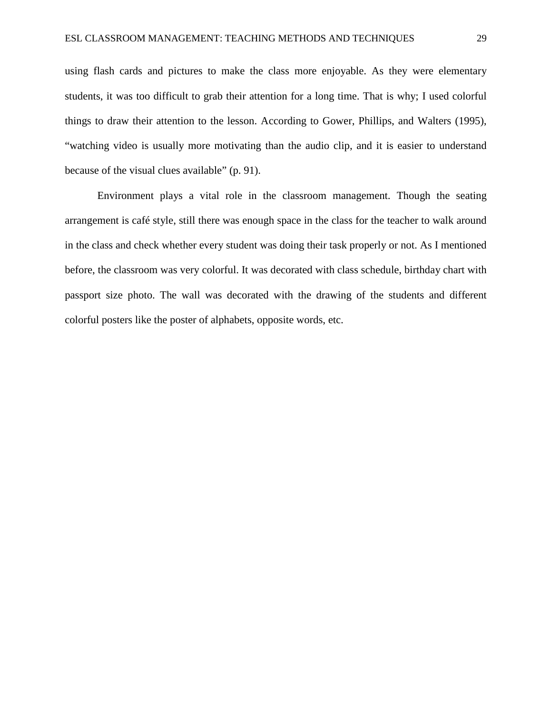using flash cards and pictures to make the class more enjoyable. As they were elementary students, it was too difficult to grab their attention for a long time. That is why; I used colorful things to draw their attention to the lesson. According to Gower, Phillips, and Walters (1995), "watching video is usually more motivating than the audio clip, and it is easier to understand because of the visual clues available" (p. 91).

Environment plays a vital role in the classroom management. Though the seating arrangement is café style, still there was enough space in the class for the teacher to walk around in the class and check whether every student was doing their task properly or not. As I mentioned before, the classroom was very colorful. It was decorated with class schedule, birthday chart with passport size photo. The wall was decorated with the drawing of the students and different colorful posters like the poster of alphabets, opposite words, etc.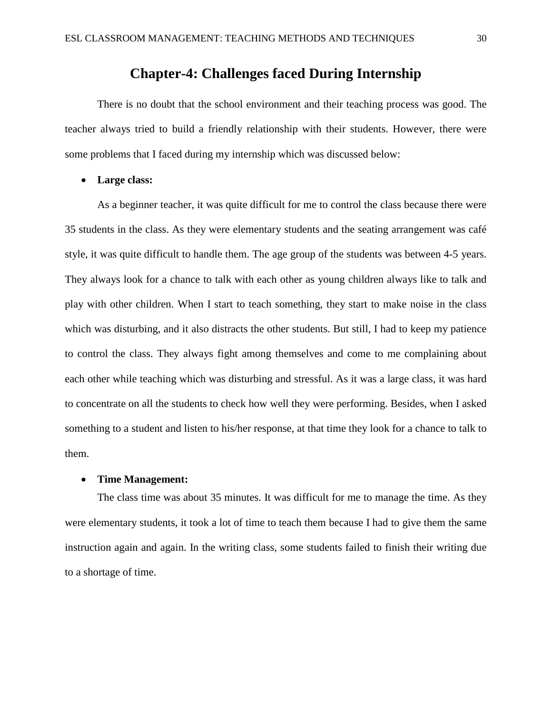## **Chapter-4: Challenges faced During Internship**

There is no doubt that the school environment and their teaching process was good. The teacher always tried to build a friendly relationship with their students. However, there were some problems that I faced during my internship which was discussed below:

• **Large class:** 

As a beginner teacher, it was quite difficult for me to control the class because there were 35 students in the class. As they were elementary students and the seating arrangement was café style, it was quite difficult to handle them. The age group of the students was between 4-5 years. They always look for a chance to talk with each other as young children always like to talk and play with other children. When I start to teach something, they start to make noise in the class which was disturbing, and it also distracts the other students. But still, I had to keep my patience to control the class. They always fight among themselves and come to me complaining about each other while teaching which was disturbing and stressful. As it was a large class, it was hard to concentrate on all the students to check how well they were performing. Besides, when I asked something to a student and listen to his/her response, at that time they look for a chance to talk to them.

### • **Time Management:**

The class time was about 35 minutes. It was difficult for me to manage the time. As they were elementary students, it took a lot of time to teach them because I had to give them the same instruction again and again. In the writing class, some students failed to finish their writing due to a shortage of time.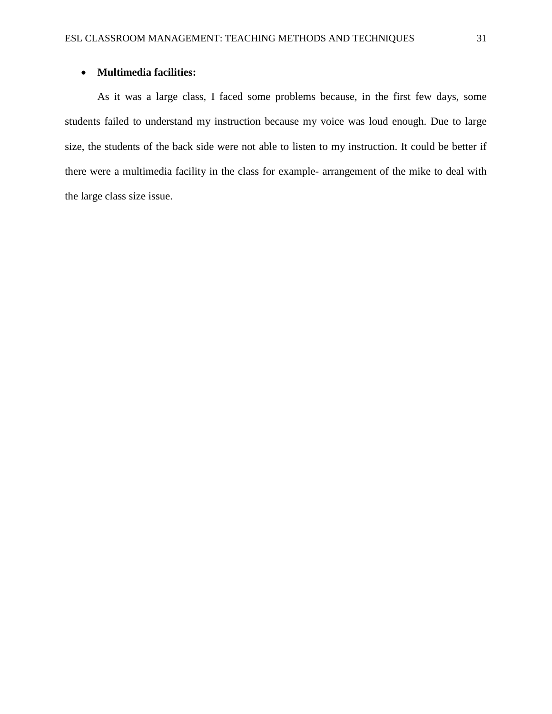## • **Multimedia facilities:**

As it was a large class, I faced some problems because, in the first few days, some students failed to understand my instruction because my voice was loud enough. Due to large size, the students of the back side were not able to listen to my instruction. It could be better if there were a multimedia facility in the class for example- arrangement of the mike to deal with the large class size issue.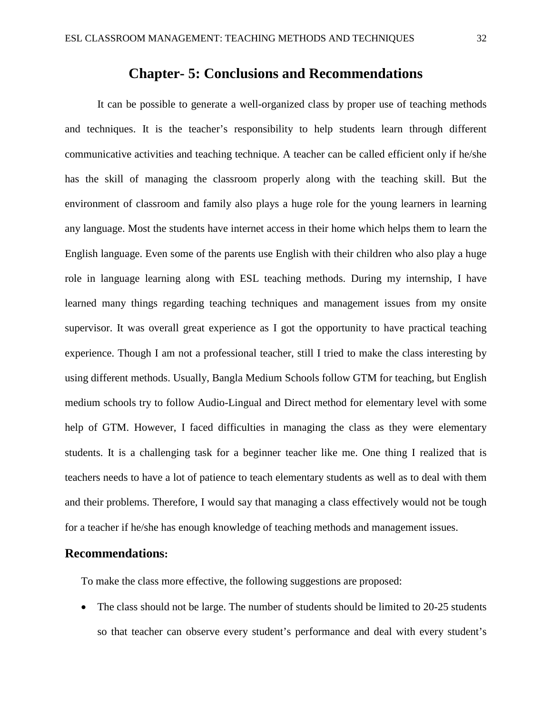# **Chapter- 5: Conclusions and Recommendations**

It can be possible to generate a well-organized class by proper use of teaching methods and techniques. It is the teacher's responsibility to help students learn through different communicative activities and teaching technique. A teacher can be called efficient only if he/she has the skill of managing the classroom properly along with the teaching skill. But the environment of classroom and family also plays a huge role for the young learners in learning any language. Most the students have internet access in their home which helps them to learn the English language. Even some of the parents use English with their children who also play a huge role in language learning along with ESL teaching methods. During my internship, I have learned many things regarding teaching techniques and management issues from my onsite supervisor. It was overall great experience as I got the opportunity to have practical teaching experience. Though I am not a professional teacher, still I tried to make the class interesting by using different methods. Usually, Bangla Medium Schools follow GTM for teaching, but English medium schools try to follow Audio-Lingual and Direct method for elementary level with some help of GTM. However, I faced difficulties in managing the class as they were elementary students. It is a challenging task for a beginner teacher like me. One thing I realized that is teachers needs to have a lot of patience to teach elementary students as well as to deal with them and their problems. Therefore, I would say that managing a class effectively would not be tough for a teacher if he/she has enough knowledge of teaching methods and management issues.

## **Recommendations:**

To make the class more effective, the following suggestions are proposed:

• The class should not be large. The number of students should be limited to 20-25 students so that teacher can observe every student's performance and deal with every student's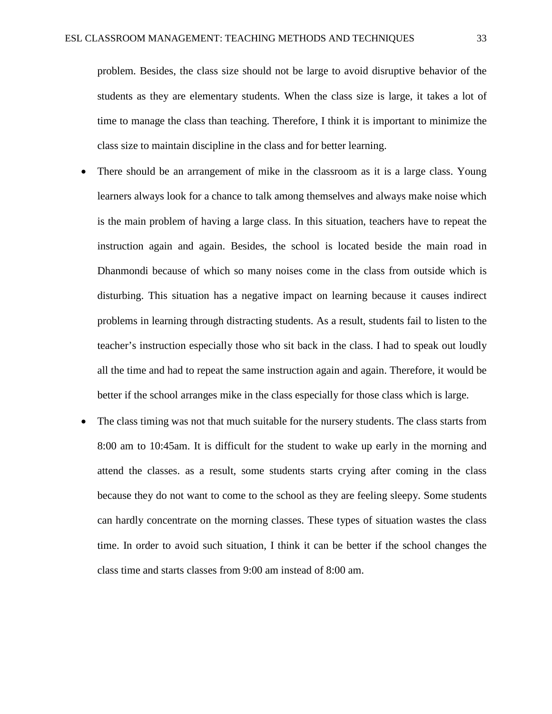problem. Besides, the class size should not be large to avoid disruptive behavior of the students as they are elementary students. When the class size is large, it takes a lot of time to manage the class than teaching. Therefore, I think it is important to minimize the class size to maintain discipline in the class and for better learning.

- There should be an arrangement of mike in the classroom as it is a large class. Young learners always look for a chance to talk among themselves and always make noise which is the main problem of having a large class. In this situation, teachers have to repeat the instruction again and again. Besides, the school is located beside the main road in Dhanmondi because of which so many noises come in the class from outside which is disturbing. This situation has a negative impact on learning because it causes indirect problems in learning through distracting students. As a result, students fail to listen to the teacher's instruction especially those who sit back in the class. I had to speak out loudly all the time and had to repeat the same instruction again and again. Therefore, it would be better if the school arranges mike in the class especially for those class which is large.
- The class timing was not that much suitable for the nursery students. The class starts from 8:00 am to 10:45am. It is difficult for the student to wake up early in the morning and attend the classes. as a result, some students starts crying after coming in the class because they do not want to come to the school as they are feeling sleepy. Some students can hardly concentrate on the morning classes. These types of situation wastes the class time. In order to avoid such situation, I think it can be better if the school changes the class time and starts classes from 9:00 am instead of 8:00 am.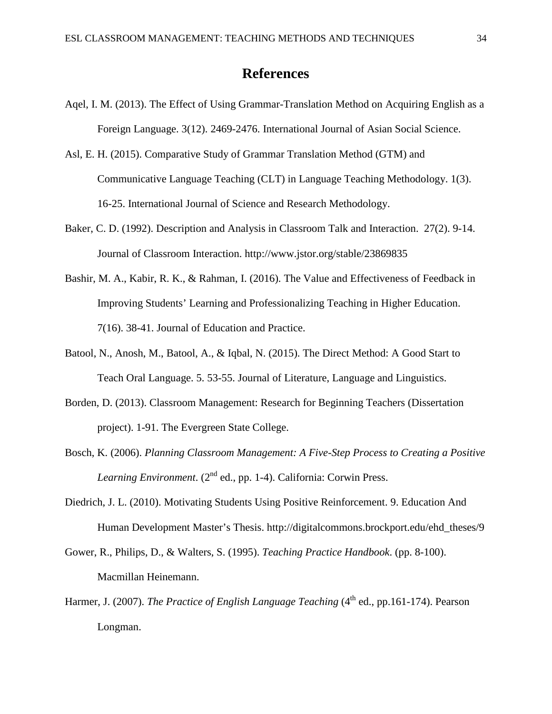## **References**

- Aqel, I. M. (2013). The Effect of Using Grammar-Translation Method on Acquiring English as a Foreign Language. 3(12). 2469-2476. International Journal of Asian Social Science.
- Asl, E. H. (2015). Comparative Study of Grammar Translation Method (GTM) and Communicative Language Teaching (CLT) in Language Teaching Methodology. 1(3). 16-25. International Journal of Science and Research Methodology.
- Baker, C. D. (1992). Description and Analysis in Classroom Talk and Interaction. 27(2). 9-14. Journal of Classroom Interaction. http://www.jstor.org/stable/23869835
- Bashir, M. A., Kabir, R. K., & Rahman, I. (2016). The Value and Effectiveness of Feedback in Improving Students' Learning and Professionalizing Teaching in Higher Education. 7(16). 38-41. Journal of Education and Practice.
- Batool, N., Anosh, M., Batool, A., & Iqbal, N. (2015). The Direct Method: A Good Start to Teach Oral Language. 5. 53-55. Journal of Literature, Language and Linguistics.
- Borden, D. (2013). Classroom Management: Research for Beginning Teachers (Dissertation project). 1-91. The Evergreen State College.
- Bosch, K. (2006). *Planning Classroom Management: A Five-Step Process to Creating a Positive Learning Environment*. (2<sup>nd</sup> ed., pp. 1-4). California: Corwin Press.
- Diedrich, J. L. (2010). Motivating Students Using Positive Reinforcement. 9. Education And Human Development Master's Thesis. http://digitalcommons.brockport.edu/ehd\_theses/9
- Gower, R., Philips, D., & Walters, S. (1995). *Teaching Practice Handbook*. (pp. 8-100). Macmillan Heinemann.
- Harmer, J. (2007). *The Practice of English Language Teaching* (4<sup>th</sup> ed., pp.161-174). Pearson Longman.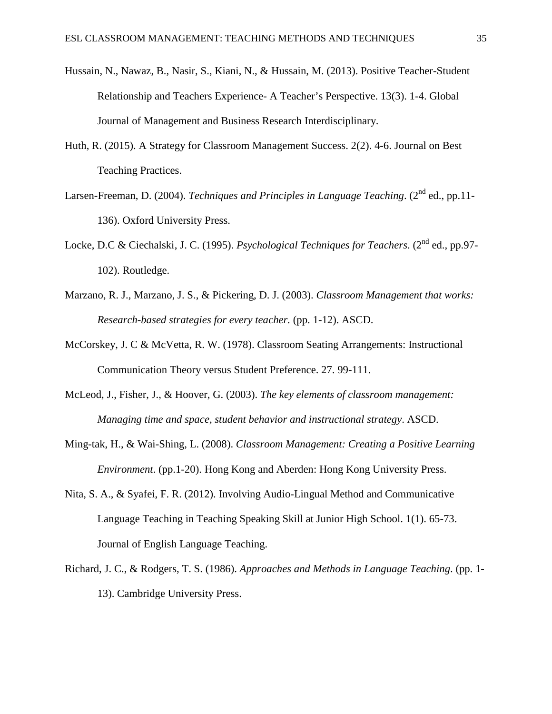- Hussain, N., Nawaz, B., Nasir, S., Kiani, N., & Hussain, M. (2013). Positive Teacher-Student Relationship and Teachers Experience- A Teacher's Perspective. 13(3). 1-4. Global Journal of Management and Business Research Interdisciplinary.
- Huth, R. (2015). A Strategy for Classroom Management Success. 2(2). 4-6. Journal on Best Teaching Practices.
- Larsen-Freeman, D. (2004). *Techniques and Principles in Language Teaching*. (2<sup>nd</sup> ed., pp.11-136). Oxford University Press.
- Locke, D.C & Ciechalski, J. C. (1995). *Psychological Techniques for Teachers*. (2<sup>nd</sup> ed., pp.97-102). Routledge.
- Marzano, R. J., Marzano, J. S., & Pickering, D. J. (2003). *Classroom Management that works: Research-based strategies for every teacher.* (pp. 1-12). ASCD.
- McCorskey, J. C & McVetta, R. W. (1978). Classroom Seating Arrangements: Instructional Communication Theory versus Student Preference. 27. 99-111.
- McLeod, J., Fisher, J., & Hoover, G. (2003). *The key elements of classroom management: Managing time and space, student behavior and instructional strategy*. ASCD.
- Ming-tak, H., & Wai-Shing, L. (2008). *Classroom Management: Creating a Positive Learning Environment*. (pp.1-20). Hong Kong and Aberden: Hong Kong University Press.
- Nita, S. A., & Syafei, F. R. (2012). Involving Audio-Lingual Method and Communicative Language Teaching in Teaching Speaking Skill at Junior High School. 1(1). 65-73. Journal of English Language Teaching.
- Richard, J. C., & Rodgers, T. S. (1986). *Approaches and Methods in Language Teaching*. (pp. 1- 13). Cambridge University Press.